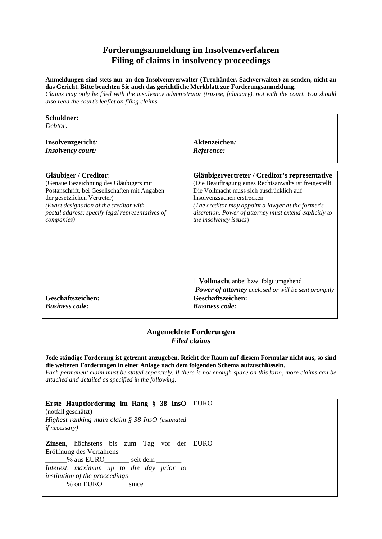## **Forderungsanmeldung im Insolvenzverfahren Filing of claims in insolvency proceedings**

**Anmeldungen sind stets nur an den Insolvenzverwalter (Treuhänder, Sachverwalter) zu senden, nicht an das Gericht. Bitte beachten Sie auch das gerichtliche Merkblatt zur Forderungsanmeldung.** 

Claims may only be filed with the insolvency administrator (trustee, fiduciary), not with the court. You should *also read the court's leaflet on filing claims.*

| Schuldner:                                       |                                                            |
|--------------------------------------------------|------------------------------------------------------------|
| Debtor:                                          |                                                            |
|                                                  |                                                            |
| Insolvenzgericht:                                | Aktenzeichen:                                              |
| <b>Insolvency court:</b>                         | Reference:                                                 |
|                                                  |                                                            |
|                                                  |                                                            |
| <b>Gläubiger / Creditor:</b>                     | Gläubigervertreter / Creditor's representative             |
| (Genaue Bezeichnung des Gläubigers mit           | (Die Beauftragung eines Rechtsanwalts ist freigestellt.    |
| Postanschrift, bei Gesellschaften mit Angaben    | Die Vollmacht muss sich ausdrücklich auf                   |
| der gesetzlichen Vertreter)                      | Insolvenzsachen erstrecken                                 |
| (Exact designation of the creditor with          | (The creditor may appoint a lawyer at the former's         |
| postal address; specify legal representatives of | discretion. Power of attorney must extend explicitly to    |
| <i>companies</i> )                               | <i>the insolvency issues</i> )                             |
|                                                  |                                                            |
|                                                  |                                                            |
|                                                  |                                                            |
|                                                  |                                                            |
|                                                  |                                                            |
|                                                  |                                                            |
|                                                  |                                                            |
|                                                  | $\Box$ Vollmacht anbei bzw. folgt umgehend                 |
|                                                  | <b>Power of attorney</b> enclosed or will be sent promptly |
| Geschäftszeichen:                                | Geschäftszeichen:                                          |
| <b>Business code:</b>                            | <b>Business code:</b>                                      |
|                                                  |                                                            |

## **Angemeldete Forderungen**  *Filed claims*

**Jede ständige Forderung ist getrennt anzugeben. Reicht der Raum auf diesem Formular nicht aus, so sind die weiteren Forderungen in einer Anlage nach dem folgenden Schema aufzuschlüsseln.** 

Each permanent claim must be stated separately. If there is not enough space on this form, more claims can be *attached and detailed as specified in the following.*

| Erste Hauptforderung im Rang § 38 InsO<br>(notfall geschätzt)<br>Highest ranking main claim $\S 38$ InsO (estimated<br><i>if necessary</i> )                                                                          | <b>EURO</b> |
|-----------------------------------------------------------------------------------------------------------------------------------------------------------------------------------------------------------------------|-------------|
| <b>Zinsen</b> , höchstens bis zum Tag vor der<br>Eröffnung des Verfahrens<br>______% aus EURO_______ seit dem ______<br>Interest, maximum up to the day prior to<br>institution of the proceedings<br>% on EURO since | <b>EURO</b> |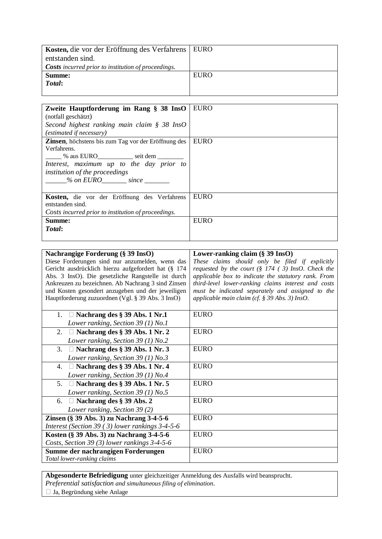| Kosten, die vor der Eröffnung des Verfahrens   EURO        |             |
|------------------------------------------------------------|-------------|
| entstanden sind.                                           |             |
| <b>Costs</b> incurred prior to institution of proceedings. |             |
| Summe:                                                     | <b>EURO</b> |
| Total:                                                     |             |
|                                                            |             |

| Zweite Hauptforderung im Rang § 38 InsO                     | <b>EURO</b> |
|-------------------------------------------------------------|-------------|
| (notfall geschätzt)                                         |             |
| Second highest ranking main claim $\S$ 38 InsO              |             |
| <i>(estimated if necessary)</i>                             |             |
| <b>Zinsen</b> , höchstens bis zum Tag vor der Eröffnung des | <b>EURO</b> |
| Verfahrens.                                                 |             |
| ______ % aus EURO____________ seit dem ________             |             |
| Interest, maximum up to the day prior to                    |             |
| <i>institution of the proceedings</i>                       |             |
| $\%$ on EURO since                                          |             |
|                                                             |             |
| Kosten, die vor der Eröffnung des Verfahrens                | <b>EURO</b> |
| entstanden sind.                                            |             |
| Costs incurred prior to institution of proceedings.         |             |
| Summe:                                                      | <b>EURO</b> |
| Total:                                                      |             |
|                                                             |             |

| Nachrangige Forderung (§ 39 InsO)                   | Lower-ranking claim $(\S 39$ InsO)                              |
|-----------------------------------------------------|-----------------------------------------------------------------|
| Diese Forderungen sind nur anzumelden, wenn das     | These claims should only be filed if explicitly                 |
| Gericht ausdrücklich hierzu aufgefordert hat (§ 174 | requested by the court $(\S 174 (3) \text{ In} s0)$ . Check the |
| Abs. 3 InsO). Die gesetzliche Rangstelle ist durch  | applicable box to indicate the statutory rank. From             |
| Ankreuzen zu bezeichnen. Ab Nachrang 3 sind Zinsen  | third-level lower-ranking claims interest and costs             |
| und Kosten gesondert anzugeben und der jeweiligen   | must be indicated separately and assigned to the                |
| Hauptforderung zuzuordnen (Vgl. § 39 Abs. 3 InsO)   | applicable main claim (cf. § 39 Abs. 3) InsO.                   |
|                                                     |                                                                 |
| 1. $\Box$ Nachrang des § 39 Abs. 1 Nr.1             | <b>EURO</b>                                                     |
| Lower ranking, Section 39 (1) No.1                  |                                                                 |
| $\Box$ Nachrang des § 39 Abs. 1 Nr. 2<br>2.         | <b>EURO</b>                                                     |
| Lower ranking, Section 39 (1) No.2                  |                                                                 |
| 3.<br>$\Box$ Nachrang des § 39 Abs. 1 Nr. 3         | <b>EURO</b>                                                     |
| Lower ranking, Section 39 $(1)$ No.3                |                                                                 |
| $\Box$ Nachrang des § 39 Abs. 1 Nr. 4<br>4.         | <b>EURO</b>                                                     |
| Lower ranking, Section 39 $(1)$ No.4                |                                                                 |
| $\Box$ Nachrang des § 39 Abs. 1 Nr. 5<br>5.         | <b>EURO</b>                                                     |
| Lower ranking, Section 39 (1) No.5                  |                                                                 |
| $\Box$ Nachrang des § 39 Abs. 2<br>6.               | <b>EURO</b>                                                     |
| Lower ranking, Section 39 (2)                       |                                                                 |
| Zinsen (§ 39 Abs. 3) zu Nachrang 3-4-5-6            | <b>EURO</b>                                                     |
| Interest (Section 39 $(3)$ lower rankings 3-4-5-6   |                                                                 |
| Kosten (§ 39 Abs. 3) zu Nachrang 3-4-5-6            | <b>EURO</b>                                                     |
| Costs, Section 39 (3) lower rankings 3-4-5-6        |                                                                 |
| Summe der nachrangigen Forderungen                  | <b>EURO</b>                                                     |
| Total lower-ranking claims                          |                                                                 |

**Abgesonderte Befriedigung** unter gleichzeitiger Anmeldung des Ausfalls wird beansprucht.

*Preferential satisfaction and simultaneous filing of elimination.* 

 $\Box$  Ja, Begründung siehe Anlage